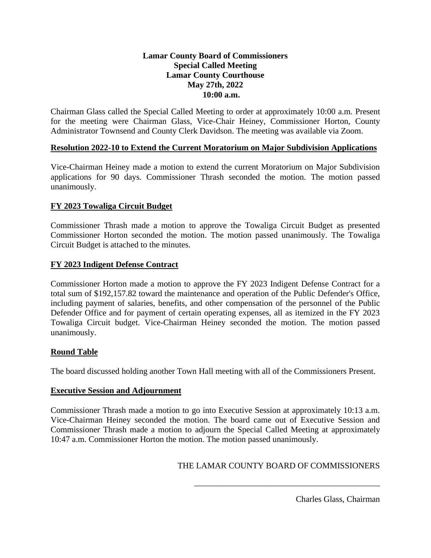## **Lamar County Board of Commissioners Special Called Meeting Lamar County Courthouse May 27th, 2022 10:00 a.m.**

Chairman Glass called the Special Called Meeting to order at approximately 10:00 a.m. Present for the meeting were Chairman Glass, Vice-Chair Heiney, Commissioner Horton, County Administrator Townsend and County Clerk Davidson. The meeting was available via Zoom.

### **Resolution 2022-10 to Extend the Current Moratorium on Major Subdivision Applications**

Vice-Chairman Heiney made a motion to extend the current Moratorium on Major Subdivision applications for 90 days. Commissioner Thrash seconded the motion. The motion passed unanimously.

# **FY 2023 Towaliga Circuit Budget**

Commissioner Thrash made a motion to approve the Towaliga Circuit Budget as presented Commissioner Horton seconded the motion. The motion passed unanimously. The Towaliga Circuit Budget is attached to the minutes.

### **FY 2023 Indigent Defense Contract**

Commissioner Horton made a motion to approve the FY 2023 Indigent Defense Contract for a total sum of \$192,157.82 toward the maintenance and operation of the Public Defender's Office, including payment of salaries, benefits, and other compensation of the personnel of the Public Defender Office and for payment of certain operating expenses, all as itemized in the FY 2023 Towaliga Circuit budget. Vice-Chairman Heiney seconded the motion. The motion passed unanimously.

#### **Round Table**

The board discussed holding another Town Hall meeting with all of the Commissioners Present.

#### **Executive Session and Adjournment**

Commissioner Thrash made a motion to go into Executive Session at approximately 10:13 a.m. Vice-Chairman Heiney seconded the motion. The board came out of Executive Session and Commissioner Thrash made a motion to adjourn the Special Called Meeting at approximately 10:47 a.m. Commissioner Horton the motion. The motion passed unanimously.

# THE LAMAR COUNTY BOARD OF COMMISSIONERS

\_\_\_\_\_\_\_\_\_\_\_\_\_\_\_\_\_\_\_\_\_\_\_\_\_\_\_\_\_\_\_\_\_\_\_\_\_\_\_\_\_\_\_\_

Charles Glass, Chairman